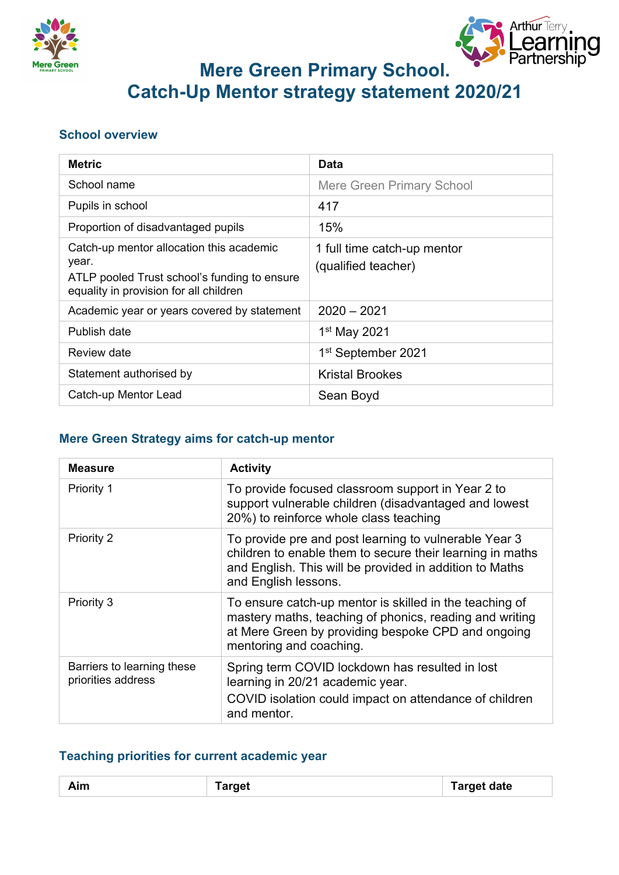



# **Mere Green Primary School. Catch-Up Mentor strategy statement 2020/21**

#### **School overview**

| <b>Metric</b>                                                                                                                               | <b>Data</b>                                        |
|---------------------------------------------------------------------------------------------------------------------------------------------|----------------------------------------------------|
| School name                                                                                                                                 | <b>Mere Green Primary School</b>                   |
| Pupils in school                                                                                                                            | 417                                                |
| Proportion of disadvantaged pupils                                                                                                          | 15%                                                |
| Catch-up mentor allocation this academic<br>year.<br>ATLP pooled Trust school's funding to ensure<br>equality in provision for all children | 1 full time catch-up mentor<br>(qualified teacher) |
| Academic year or years covered by statement                                                                                                 | $2020 - 2021$                                      |
| Publish date                                                                                                                                | 1 <sup>st</sup> May 2021                           |
| Review date                                                                                                                                 | 1 <sup>st</sup> September 2021                     |
| Statement authorised by                                                                                                                     | <b>Kristal Brookes</b>                             |
| Catch-up Mentor Lead                                                                                                                        | Sean Boyd                                          |

#### **Mere Green Strategy aims for catch-up mentor**

| <b>Measure</b>                                   | <b>Activity</b>                                                                                                                                                                                       |
|--------------------------------------------------|-------------------------------------------------------------------------------------------------------------------------------------------------------------------------------------------------------|
| <b>Priority 1</b>                                | To provide focused classroom support in Year 2 to<br>support vulnerable children (disadvantaged and lowest<br>20%) to reinforce whole class teaching                                                  |
| Priority 2                                       | To provide pre and post learning to vulnerable Year 3<br>children to enable them to secure their learning in maths<br>and English. This will be provided in addition to Maths<br>and English lessons. |
| Priority 3                                       | To ensure catch-up mentor is skilled in the teaching of<br>mastery maths, teaching of phonics, reading and writing<br>at Mere Green by providing bespoke CPD and ongoing<br>mentoring and coaching.   |
| Barriers to learning these<br>priorities address | Spring term COVID lockdown has resulted in lost<br>learning in 20/21 academic year.<br>COVID isolation could impact on attendance of children<br>and mentor.                                          |

#### **Teaching priorities for current academic year**

| Aim | arɑet<br>$\sim$ | <b>Farget date</b><br>$\sim$ $\sim$ |
|-----|-----------------|-------------------------------------|
|     |                 |                                     |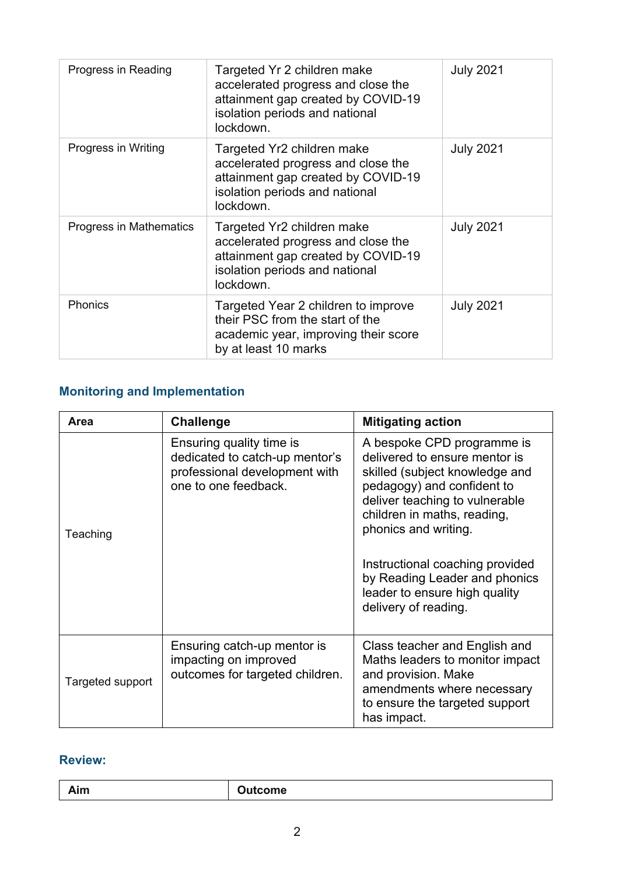| Progress in Reading     | Targeted Yr 2 children make<br>accelerated progress and close the<br>attainment gap created by COVID-19<br>isolation periods and national<br>lockdown. | <b>July 2021</b> |
|-------------------------|--------------------------------------------------------------------------------------------------------------------------------------------------------|------------------|
| Progress in Writing     | Targeted Yr2 children make<br>accelerated progress and close the<br>attainment gap created by COVID-19<br>isolation periods and national<br>lockdown.  | <b>July 2021</b> |
| Progress in Mathematics | Targeted Yr2 children make<br>accelerated progress and close the<br>attainment gap created by COVID-19<br>isolation periods and national<br>lockdown.  | <b>July 2021</b> |
| <b>Phonics</b>          | Targeted Year 2 children to improve<br>their PSC from the start of the<br>academic year, improving their score<br>by at least 10 marks                 | <b>July 2021</b> |

## **Monitoring and Implementation**

| Area             | <b>Challenge</b>                                                                                                    | <b>Mitigating action</b>                                                                                                                                                                                                                                                                                                                          |
|------------------|---------------------------------------------------------------------------------------------------------------------|---------------------------------------------------------------------------------------------------------------------------------------------------------------------------------------------------------------------------------------------------------------------------------------------------------------------------------------------------|
| Teaching         | Ensuring quality time is<br>dedicated to catch-up mentor's<br>professional development with<br>one to one feedback. | A bespoke CPD programme is<br>delivered to ensure mentor is<br>skilled (subject knowledge and<br>pedagogy) and confident to<br>deliver teaching to vulnerable<br>children in maths, reading,<br>phonics and writing.<br>Instructional coaching provided<br>by Reading Leader and phonics<br>leader to ensure high quality<br>delivery of reading. |
| Targeted support | Ensuring catch-up mentor is<br>impacting on improved<br>outcomes for targeted children.                             | Class teacher and English and<br>Maths leaders to monitor impact<br>and provision. Make<br>amendments where necessary<br>to ensure the targeted support<br>has impact.                                                                                                                                                                            |

### **Review:**

|  |  | . .<br>____ |
|--|--|-------------|
|--|--|-------------|